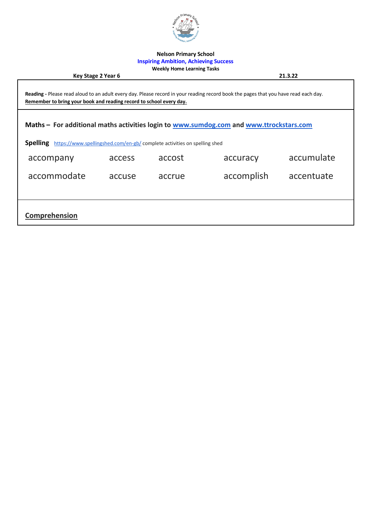

### **Nelson Primary School**

### **Inspiring Ambition, Achieving Success Weekly Home Learning Tasks**

**Key Stage 2 Year 6 21.3.22** 

**Reading -** Please read aloud to an adult every day. Please record in your reading record book the pages that you have read each day. **Remember to bring your book and reading record to school every day.**

**Maths – For additional maths activities login to [www.sumdog.com](http://www.sumdog.com/) and [www.ttrockstars.com](http://www.ttrockstars.com/)**

**Spelling** <https://www.spellingshed.com/en-gb/> complete activities on spelling shed

| accompany     | access | accost | accuracy   | accumulate |
|---------------|--------|--------|------------|------------|
| accommodate   | accuse | accrue | accomplish | accentuate |
|               |        |        |            |            |
| Comprehension |        |        |            |            |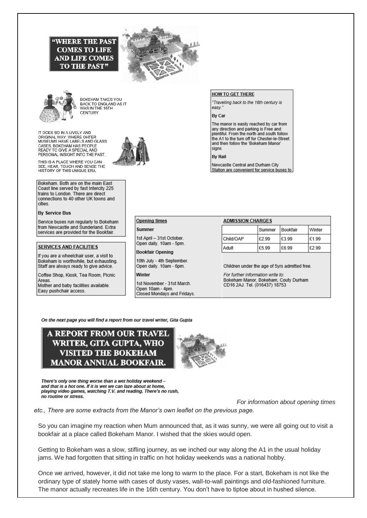



**BOKEHAM TAKES YOU** BACK TO ENGLAND AS IT WAS IN THE 16TH CENTURY.

IT DOES SO IN A LIVELY AND<br>ORIGINAL WAY: WHERE OHTER MUSEUMS HAVE LABELS AND GLASS<br>CASES, BOKEHAM HAS PEOPLE READY TO GIVE A SPECIAL AND PERSONAL INSIGHT INTO THE PAST

**"WHERE THE PAST COMES TO LIFE AND LIFE COMES TO THE PAST"** 

THIS IS A PLACE WHERE YOU CAN THIS IS A PLACE WHERE TOO CAN<br>SEE, HEAR, TOUCH AND SENSE THE<br>HISTORY OF THIS UNIQUE ERA.

Bokeham. Both are on the main East Coast line served by fast Intercity 225 trains to London. There are direct connections to 40 other UK towns and cities.

#### **By Service Bus**

Service buses run regularly to Bokeham from Newcastle and Sunderland. Extra services are provided for the Bookfair.

#### **SERVICES AND FACILITIES**

If you are a wheelchair user, a visit to Bokeham is worthwhile, but exhausting. Staff are always ready to give advice.

Coffee Shop, Kiosk, Tea Room, Picnic Areas.

Mother and baby facilities available. Easy pushchair access.

no routine or stress.

#### **HOW TO GET THERE**

"Travelling back to the 16th century is easy.

#### By Car

The manor is easily reached by car from any direction and parking is Free and plentiful From the north and south follow the A1 to the turn off for Chester-le-Street and then follow the 'Bokeham Manor' sians

**By Rail** 

Newcastle Central and Durham City Station are convenient for service buses to

|  | Opening times |  |
|--|---------------|--|
|  |               |  |

Summer

1st April - 31st October. Open daily. 10am - 5pm.

#### **Bookfair Opening**

10th July - 4th September. Open daily. 10am - 6pm.

#### Winter

1st November - 31st March. Onen 10am - 4pm Closed Mondays and Fridays.

#### **ADMISSION CHARGES**

|           | l Summer | <b>Bookfair</b> | l Winter |
|-----------|----------|-----------------|----------|
| Child/OAP | £2.99    | £3.99           | £1.99    |
| Adult     | £5.99    | E6.99           | £2.99    |

Children under the age of 5yrs admitted free.

For further information write to: Bokeham Manor, Bokeham, Couty Durham<br>CD16 2AJ. Tel. (016437) 18753

On the next page you will find a report from our travel writer, Gita Gupta

## A REPORT FROM OUR TRAVEL WRITER, GITA GUPTA, WHO **VISITED THE BOKEHAM MANOR ANNUAL BOOKFAIR.**

There's only one thing worse than a wet holiday weekend and that is a hot one. If it is wet we can laze about at home, playing video games, watching T.V. and reading. There's no rush,



etc., There are some extracts from the Manor's own leaflet on the previous page.

So you can imagine my reaction when Mum announced that, as it was sunny, we were all going out to visit a bookfair at a place called Bokeham Manor. I wished that the skies would open.

Getting to Bokeham was a slow, stifling journey, as we inched our way along the A1 in the usual holiday jams. We had forgotten that sitting in traffic on hot holiday weekends was a national hobby.

Once we arrived, however, it did not take me long to warm to the place. For a start, Bokeham is not like the ordinary type of stately home with cases of dusty vases, wall-to-wall paintings and old-fashioned furniture. The manor actually recreates life in the 16th century. You don't have to tiptoe about in hushed silence.



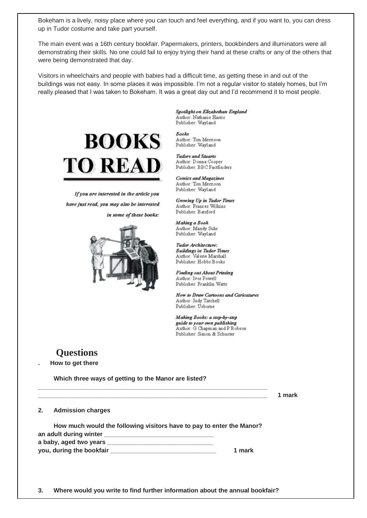Bokeham is a lively, noisy place where you can touch and feel everything, and if you want to, you can dress up in Tudor costume and take part yourself.

The main event was a 16th century bookfair. Papermakers, printers, bookbinders and illuminators were all demonstrating their skills. No one could fail to enjoy trying their hand at these crafts or any of the others that were being demonstrated that day.

Visitors in wheelchairs and people with babies had a difficult time, as getting these in and out of the buildings was not easy. In some places it was impossible. I'm not a regular visitor to stately homes, but I'm really pleased that I was taken to Bokeham. It was a great day out and I'd recommend it to most people.



If you are interested in the article you have just read, you may also be interested

in some of these books:



Spotlight on Elizabethan England Author: Nathanie Harris Publisher: Wayland

**Books** Author: Tim Merrison Publisher: Wayland

**Tudors and Stuarts** Author: Donna Cooper Publisher: BBC Factfinders

**Comics and Magazines** Author: Tim Merrison Publisher: Wayland

Growing Up in Tudor Times Author: Frances Wilkins Publisher: Batsford

Making a Book Author: Mandy Suhr Publisher: Wayland

Tudor Architecture: **Buildings in Tudor Times** Author: Valerie Marshall Publisher: Hobbs Books

**Finding out About Printing** Author: Ivor Powell Publisher: Franklin Watts

How to Draw Cartoons and Caricatures Author: Judy Tatchell Publisher: Usborne

Making Books: a step-by-step guide to your own publishing Author: G Chapman and P Robson Publisher: Simon & Schuster

## **Questions**

**. How to get there**

 **Which three ways of getting to the Manor are listed?**

|    |                                                                       |        | 1 mark |
|----|-----------------------------------------------------------------------|--------|--------|
| 2. | <b>Admission charges</b>                                              |        |        |
|    | How much would the following visitors have to pay to enter the Manor? |        |        |
|    |                                                                       |        |        |
|    |                                                                       |        |        |
|    |                                                                       | 1 mark |        |
|    |                                                                       |        |        |
|    |                                                                       |        |        |
|    |                                                                       |        |        |

**3. Where would you write to find further information about the annual bookfair?**